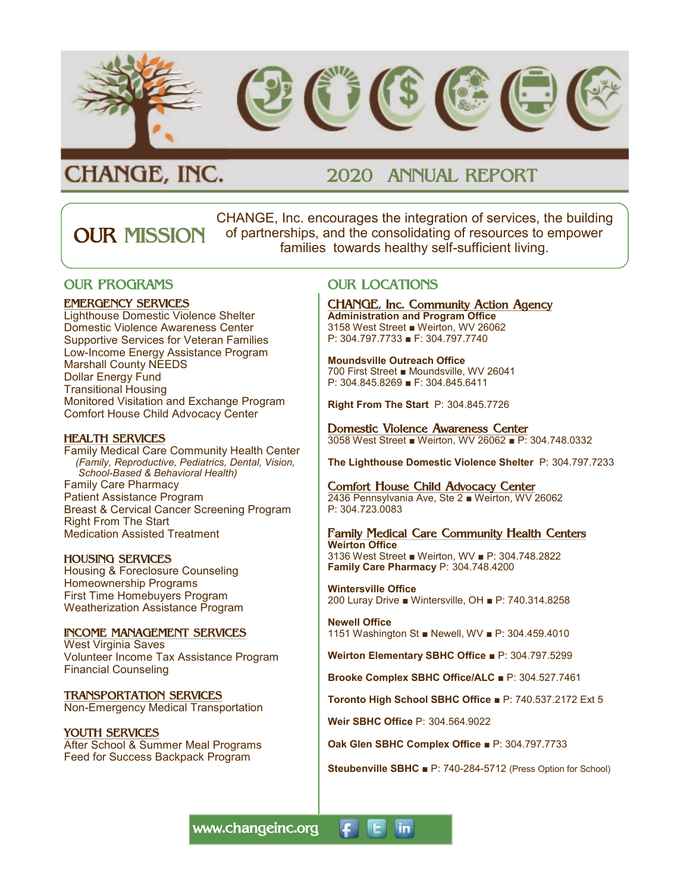

# CHANGE, INC.

## 2020 ANNUAL REPORT

CHANGE, Inc. encourages the integration of services, the building of partnerships, and the consolidating of resources to empower families towards healthy self-sufficient living. OUR MISSION

### OUR PROGRAMS

### EMERGENCY SERVICES

Lighthouse Domestic Violence Shelter Domestic Violence Awareness Center Supportive Services for Veteran Families Low-Income Energy Assistance Program Marshall County NEEDS Dollar Energy Fund Transitional Housing Monitored Visitation and Exchange Program Comfort House Child Advocacy Center

#### HEALTH SERVICES

Family Medical Care Community Health Center  *(Family, Reproductive, Pediatrics, Dental, Vision, School-Based & Behavioral Health)* Family Care Pharmacy Patient Assistance Program Breast & Cervical Cancer Screening Program Right From The Start Medication Assisted Treatment

#### HOUSING SERVICES

Housing & Foreclosure Counseling Homeownership Programs First Time Homebuyers Program Weatherization Assistance Program

#### INCOME MANAGEMENT SERVICES

West Virginia Saves Volunteer Income Tax Assistance Program Financial Counseling

#### TRANSPORTATION SERVICES

Non-Emergency Medical Transportation

#### YOUTH SERVICES

After School & Summer Meal Programs Feed for Success Backpack Program

### OUR LOCATIONS

### CHANGE, Inc. Community Action Agency

**Administration and Program Office** 3158 West Street ■ Weirton, WV 26062 P: 304.797.7733 ■ F: 304.797.7740

#### **Moundsville Outreach Office** 700 First Street ■ Moundsville, WV 26041 P: 304.845.8269 ■ F: 304.845.6411

**Right From The Start** P: 304.845.7726

#### Domestic Violence Awareness Center

3058 West Street ■ Weirton, WV 26062 ■ P: 304.748.0332

**The Lighthouse Domestic Violence Shelter** P: 304.797.7233

#### Comfort House Child Advocacy Center

2436 Pennsylvania Ave, Ste 2 ■ Weirton, WV 26062 P: 304.723.0083

### Family Medical Care Community Health Centers

**Weirton Office** 3136 West Street ■ Weirton, WV ■ P: 304.748.2822 **Family Care Pharmacy** P: 304.748.4200

**Wintersville Office** 200 Luray Drive ■ Wintersville, OH ■ P: 740.314.8258

**Newell Office** 1151 Washington St ■ Newell, WV ■ P: 304.459.4010

**Weirton Elementary SBHC Office** ■ P: 304.797.5299

**Brooke Complex SBHC Office/ALC** ■ P: 304.527.7461

**Toronto High School SBHC Office** ■ P: 740.537.2172 Ext 5

**Weir SBHC Office** P: 304.564.9022

**in** 

**Oak Glen SBHC Complex Office** ■ P: 304.797.7733

**Steubenville SBHC** ■ P: 740-284-5712 (Press Option for School)

www.changeinc.org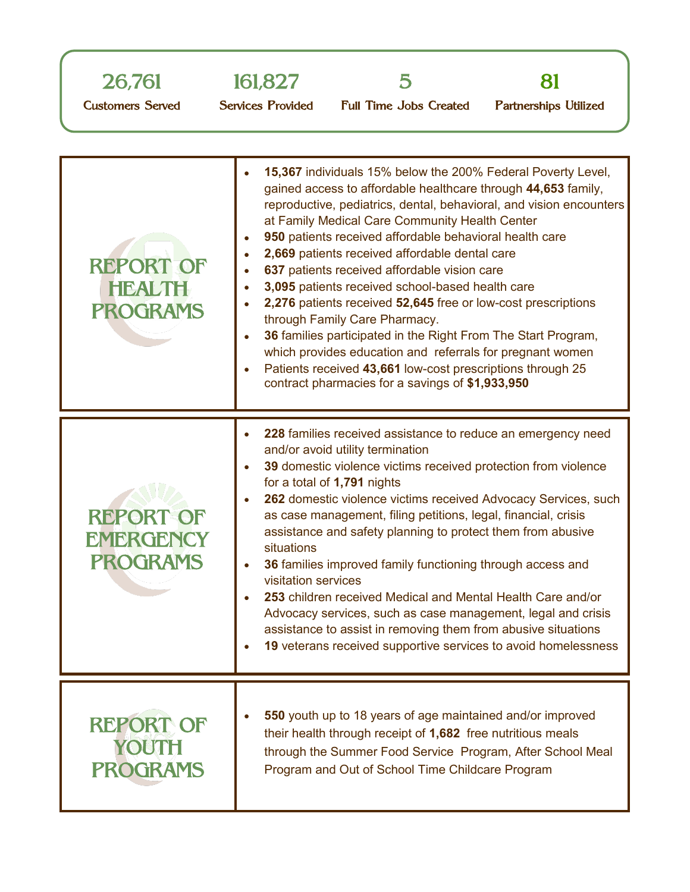| 26,761<br><b>Customers Served</b> | 161,827<br><b>Services Provided</b> | <b>Full Time Jobs Created</b>                                                                                                                                                                                                                                                                                                                                              | <b>Partnerships Utilized</b> |
|-----------------------------------|-------------------------------------|----------------------------------------------------------------------------------------------------------------------------------------------------------------------------------------------------------------------------------------------------------------------------------------------------------------------------------------------------------------------------|------------------------------|
|                                   |                                     | <b>15,367</b> individuals 15% below the 200% Federal Poverty Level,<br>gained access to affordable healthcare through 44,653 family,<br>reproductive, pediatrics, dental, behavioral, and vision encounters<br>at Family Medical Care Community Health Center<br>950 patients received affordable behavioral health care<br>2,669 patients received affordable dental care |                              |

| <b>REPORT OF</b><br><b>HEALTH</b><br><b>PROGRAMS</b>    | at Family Medical Care Community Health Center<br>950 patients received affordable behavioral health care<br>$\bullet$<br>2,669 patients received affordable dental care<br>$\bullet$<br>637 patients received affordable vision care<br>3,095 patients received school-based health care<br>$\bullet$<br>2,276 patients received 52,645 free or low-cost prescriptions<br>$\bullet$<br>through Family Care Pharmacy.<br>36 families participated in the Right From The Start Program,<br>$\bullet$<br>which provides education and referrals for pregnant women<br>Patients received 43,661 low-cost prescriptions through 25<br>contract pharmacies for a savings of \$1,933,950                                                                                                     |
|---------------------------------------------------------|----------------------------------------------------------------------------------------------------------------------------------------------------------------------------------------------------------------------------------------------------------------------------------------------------------------------------------------------------------------------------------------------------------------------------------------------------------------------------------------------------------------------------------------------------------------------------------------------------------------------------------------------------------------------------------------------------------------------------------------------------------------------------------------|
| <b>REPORT OF</b><br><b>EMERGENCY</b><br><b>PROGRAMS</b> | 228 families received assistance to reduce an emergency need<br>and/or avoid utility termination<br>39 domestic violence victims received protection from violence<br>for a total of 1,791 nights<br>262 domestic violence victims received Advocacy Services, such<br>as case management, filing petitions, legal, financial, crisis<br>assistance and safety planning to protect them from abusive<br>situations<br>36 families improved family functioning through access and<br>$\bullet$<br>visitation services<br>253 children received Medical and Mental Health Care and/or<br>Advocacy services, such as case management, legal and crisis<br>assistance to assist in removing them from abusive situations<br>19 veterans received supportive services to avoid homelessness |
| <b>REPORT OF</b><br>YOUTH<br><b>PROGRAMS</b>            | 550 youth up to 18 years of age maintained and/or improved<br>their health through receipt of 1,682 free nutritious meals<br>through the Summer Food Service Program, After School Meal<br>Program and Out of School Time Childcare Program                                                                                                                                                                                                                                                                                                                                                                                                                                                                                                                                            |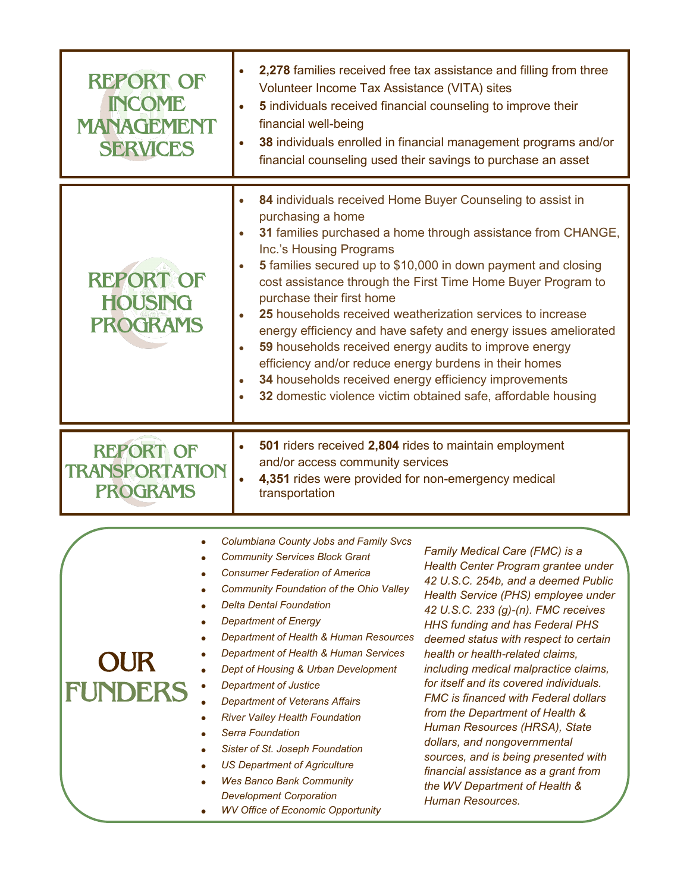| <b>REPORT OF</b><br><b>INCOME</b><br>MANAGEMENT<br><b>SERVICES</b>                                                                                                                                                                                                                                                                                                                                                                                                                                                                                                                                                                                                                                                                                                                                                                                                                                                                                                                                                                                                                                                                                                                                                                                                                                                                                                                                                                      | 2,278 families received free tax assistance and filling from three<br>Volunteer Income Tax Assistance (VITA) sites<br>5 individuals received financial counseling to improve their<br>financial well-being<br>38 individuals enrolled in financial management programs and/or<br>financial counseling used their savings to purchase an asset                                                                                                                                                                                                                                                                                                                                                                                        |  |  |  |
|-----------------------------------------------------------------------------------------------------------------------------------------------------------------------------------------------------------------------------------------------------------------------------------------------------------------------------------------------------------------------------------------------------------------------------------------------------------------------------------------------------------------------------------------------------------------------------------------------------------------------------------------------------------------------------------------------------------------------------------------------------------------------------------------------------------------------------------------------------------------------------------------------------------------------------------------------------------------------------------------------------------------------------------------------------------------------------------------------------------------------------------------------------------------------------------------------------------------------------------------------------------------------------------------------------------------------------------------------------------------------------------------------------------------------------------------|--------------------------------------------------------------------------------------------------------------------------------------------------------------------------------------------------------------------------------------------------------------------------------------------------------------------------------------------------------------------------------------------------------------------------------------------------------------------------------------------------------------------------------------------------------------------------------------------------------------------------------------------------------------------------------------------------------------------------------------|--|--|--|
| <b>REPORT OF</b><br>HOUSING<br><b>PROGRAMS</b>                                                                                                                                                                                                                                                                                                                                                                                                                                                                                                                                                                                                                                                                                                                                                                                                                                                                                                                                                                                                                                                                                                                                                                                                                                                                                                                                                                                          | 84 individuals received Home Buyer Counseling to assist in<br>purchasing a home<br>31 families purchased a home through assistance from CHANGE,<br>$\bullet$<br>Inc.'s Housing Programs<br>5 families secured up to \$10,000 in down payment and closing<br>cost assistance through the First Time Home Buyer Program to<br>purchase their first home<br>25 households received weatherization services to increase<br>energy efficiency and have safety and energy issues ameliorated<br>59 households received energy audits to improve energy<br>efficiency and/or reduce energy burdens in their homes<br>34 households received energy efficiency improvements<br>32 domestic violence victim obtained safe, affordable housing |  |  |  |
| 501 riders received 2,804 rides to maintain employment<br><b>REPORT OF</b><br>and/or access community services<br>TRANSPORTATION<br>4,351 rides were provided for non-emergency medical<br><b>PROGRAMS</b><br>transportation                                                                                                                                                                                                                                                                                                                                                                                                                                                                                                                                                                                                                                                                                                                                                                                                                                                                                                                                                                                                                                                                                                                                                                                                            |                                                                                                                                                                                                                                                                                                                                                                                                                                                                                                                                                                                                                                                                                                                                      |  |  |  |
| Columbiana County Jobs and Family Svcs<br>Family Medical Care (FMC) is a<br><b>Community Services Block Grant</b><br>Health Center Program grantee under<br><b>Consumer Federation of America</b><br>42 U.S.C. 254b, and a deemed Public<br>Community Foundation of the Ohio Valley<br>Health Service (PHS) employee under<br><b>Delta Dental Foundation</b><br>42 U.S.C. 233 (g)-(n). FMC receives<br><b>Department of Energy</b><br><b>HHS funding and has Federal PHS</b><br>Department of Health & Human Resources<br>deemed status with respect to certain<br>Department of Health & Human Services<br>health or health-related claims,<br><b>OUR</b><br>including medical malpractice claims,<br>Dept of Housing & Urban Development<br>for itself and its covered individuals.<br><b>Department of Justice</b><br><b>FUNDERS</b><br><b>FMC</b> is financed with Federal dollars<br><b>Department of Veterans Affairs</b><br>from the Department of Health &<br><b>River Valley Health Foundation</b><br>Human Resources (HRSA), State<br><b>Serra Foundation</b><br>dollars, and nongovernmental<br>Sister of St. Joseph Foundation<br>sources, and is being presented with<br><b>US Department of Agriculture</b><br>financial assistance as a grant from<br><b>Wes Banco Bank Community</b><br>the WV Department of Health &<br><b>Development Corporation</b><br>Human Resources.<br><b>WV Office of Economic Opportunity</b> |                                                                                                                                                                                                                                                                                                                                                                                                                                                                                                                                                                                                                                                                                                                                      |  |  |  |